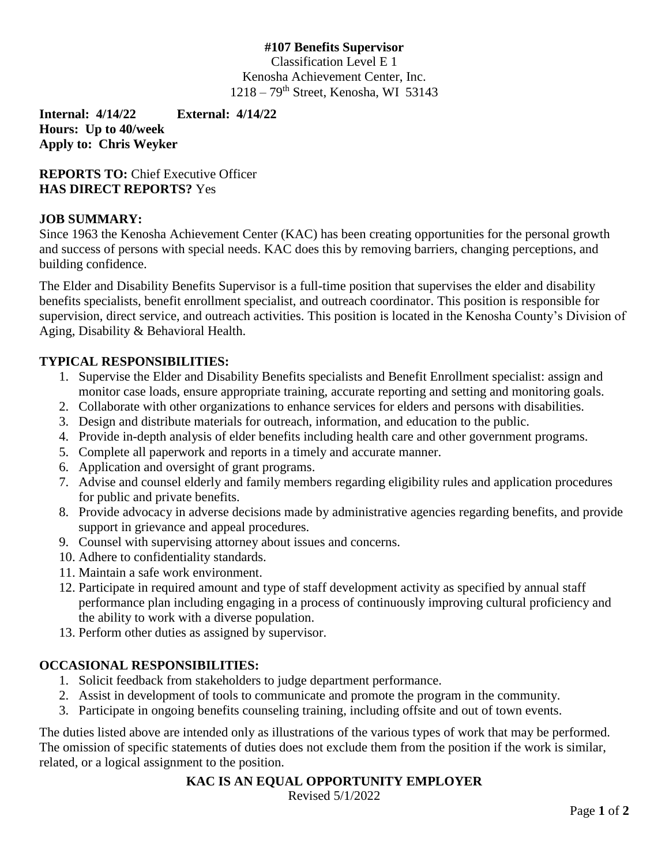### **#107 Benefits Supervisor**

Classification Level E 1 Kenosha Achievement Center, Inc. 1218 – 79th Street, Kenosha, WI 53143

**Internal: 4/14/22 External: 4/14/22 Hours: Up to 40/week Apply to: Chris Weyker**

**REPORTS TO: Chief Executive Officer HAS DIRECT REPORTS?** Yes

### **JOB SUMMARY:**

Since 1963 the Kenosha Achievement Center (KAC) has been creating opportunities for the personal growth and success of persons with special needs. KAC does this by removing barriers, changing perceptions, and building confidence.

The Elder and Disability Benefits Supervisor is a full-time position that supervises the elder and disability benefits specialists, benefit enrollment specialist, and outreach coordinator. This position is responsible for supervision, direct service, and outreach activities. This position is located in the Kenosha County's Division of Aging, Disability & Behavioral Health.

#### **TYPICAL RESPONSIBILITIES:**

- 1. Supervise the Elder and Disability Benefits specialists and Benefit Enrollment specialist: assign and monitor case loads, ensure appropriate training, accurate reporting and setting and monitoring goals.
- 2. Collaborate with other organizations to enhance services for elders and persons with disabilities.
- 3. Design and distribute materials for outreach, information, and education to the public.
- 4. Provide in-depth analysis of elder benefits including health care and other government programs.
- 5. Complete all paperwork and reports in a timely and accurate manner.
- 6. Application and oversight of grant programs.
- 7. Advise and counsel elderly and family members regarding eligibility rules and application procedures for public and private benefits.
- 8. Provide advocacy in adverse decisions made by administrative agencies regarding benefits, and provide support in grievance and appeal procedures.
- 9. Counsel with supervising attorney about issues and concerns.
- 10. Adhere to confidentiality standards.
- 11. Maintain a safe work environment.
- 12. Participate in required amount and type of staff development activity as specified by annual staff performance plan including engaging in a process of continuously improving cultural proficiency and the ability to work with a diverse population.
- 13. Perform other duties as assigned by supervisor.

### **OCCASIONAL RESPONSIBILITIES:**

- 1. Solicit feedback from stakeholders to judge department performance.
- 2. Assist in development of tools to communicate and promote the program in the community.
- 3. Participate in ongoing benefits counseling training, including offsite and out of town events.

The duties listed above are intended only as illustrations of the various types of work that may be performed. The omission of specific statements of duties does not exclude them from the position if the work is similar, related, or a logical assignment to the position.

### **KAC IS AN EQUAL OPPORTUNITY EMPLOYER**

Revised 5/1/2022